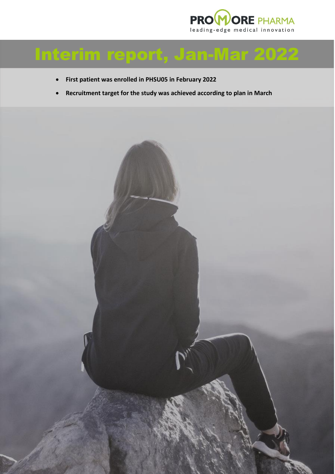

# Interim report, Jan-Mar 2022

- **First patient was enrolled in PHSU05 in February 2022**
- **Recruitment target for the study was achieved according to plan in March**

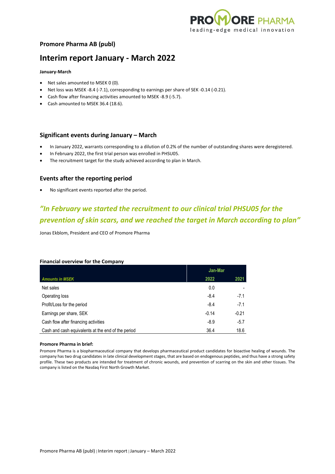

### **Promore Pharma AB (publ)**

## **Interim report January - March 2022**

#### **January-March**

- Net sales amounted to MSEK 0 (0).
- Net loss was MSEK -8.4 (-7.1), corresponding to earnings per share of SEK -0.14 (-0.21).
- Cash flow after financing activities amounted to MSEK -8.9 (-5.7).
- Cash amounted to MSEK 36.4 (18.6).

#### **Significant events during January – March**

- In January 2022, warrants corresponding to a dilution of 0.2% of the number of outstanding shares were deregistered.
- In February 2022, the first trial person was enrolled in PHSU05.
- The recruitment target for the study achieved according to plan in March.

#### **Events after the reporting period**

• No significant events reported after the period.

# *"In February we started the recruitment to our clinical trial PHSU05 for the prevention of skin scars, and we reached the target in March according to plan"*

Jonas Ekblom, President and CEO of Promore Pharma

#### **Financial overview for the Company**

|                                                    | Jan-Mar |         |
|----------------------------------------------------|---------|---------|
| <b>Amounts in MSEK</b>                             | 2022    | 2021    |
| Net sales                                          | 0.0     |         |
| Operating loss                                     | $-8.4$  | $-7.1$  |
| Profit/Loss for the period                         | $-8.4$  | $-7.1$  |
| Earnings per share, SEK                            | $-0.14$ | $-0.21$ |
| Cash flow after financing activities               | $-8.9$  | $-5.7$  |
| Cash and cash equivalents at the end of the period | 36.4    | 18.6    |

#### **Promore Pharma in brief:**

Promore Pharma is a biopharmaceutical company that develops pharmaceutical product candidates for bioactive healing of wounds. The company has two drug candidates in late clinical development stages, that are based on endogenous peptides, and thus have a strong safety profile. These two products are intended for treatment of chronic wounds, and prevention of scarring on the skin and other tissues. The company is listed on the Nasdaq First North Growth Market.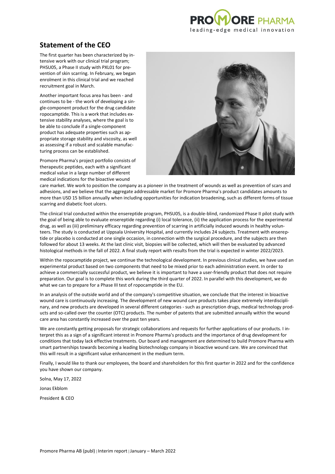

## **Statement of the CEO**

The first quarter has been characterized by intensive work with our clinical trial program; PHSU05, a Phase II study with PXL01 for prevention of skin scarring. In February, we began enrolment in this clinical trial and we reached recruitment goal in March.

Another important focus area has been - and continues to be - the work of developing a single-component product for the drug candidate ropocamptide. This is a work that includes extensive stability analyses, where the goal is to be able to conclude if a single-component product has adequate properties such as appropriate storage stability and viscosity, as well as assessing if a robust and scalable manufacturing process can be established.

Promore Pharma's project portfolio consists of therapeutic peptides, each with a significant medical value in a large number of different medical indications for the bioactive wound



care market. We work to position the company as a pioneer in the treatment of wounds as well as prevention of scars and adhesions, and we believe that the aggregate addressable market for Promore Pharma's product candidates amounts to more than USD 15 billion annually when including opportunities for indication broadening, such as different forms of tissue scarring and diabetic foot ulcers.

The clinical trial conducted within the ensereptide program, PHSU05, is a double-blind, randomized Phase II pilot study with the goal of being able to evaluate ensereptide regarding (i) local tolerance, (ii) the application process for the experimental drug, as well as (iii) preliminary efficacy regarding prevention of scarring in artificially induced wounds in healthy volunteers. The study is conducted at Uppsala University Hospital, and currently includes 24 subjects. Treatment with ensereptide or placebo is conducted at one single occasion, in connection with the surgical procedure, and the subjects are then followed for about 13 weeks. At the last clinic visit, biopsies will be collected, which will then be evaluated by advanced histological methods in the fall of 2022. A final study report with results from the trial is expected in winter 2022/2023.

Within the ropocamptide project, we continue the technological development. In previous clinical studies, we have used an experimental product based on two components that need to be mixed prior to each administration event. In order to achieve a commercially successful product, we believe it is important to have a user-friendly product that does not require preparation. Our goal is to complete this work during the third quarter of 2022. In parallel with this development, we do what we can to prepare for a Phase III test of ropocamptide in the EU.

In an analysis of the outside world and of the company's competitive situation, we conclude that the interest in bioactive wound care is continuously increasing. The development of new wound care products takes place extremely interdisciplinary, and new products are developed in several different categories - such as prescription drugs, medical technology products and so-called over the counter (OTC) products. The number of patents that are submitted annually within the wound care area has constantly increased over the past ten years.

We are constantly getting proposals for strategic collaborations and requests for further applications of our products. I interpret this as a sign of a significant interest in Promore Pharma's products and the importance of drug development for conditions that today lack effective treatments. Our board and management are determined to build Promore Pharma with smart partnerships towards becoming a leading biotechnology company in bioactive wound care. We are convinced that this will result in a significant value enhancement in the medium term.

Finally, I would like to thank our employees, the board and shareholders for this first quarter in 2022 and for the confidence you have shown our company.

Solna, May 17, 2022

Jonas Ekblom

President & CEO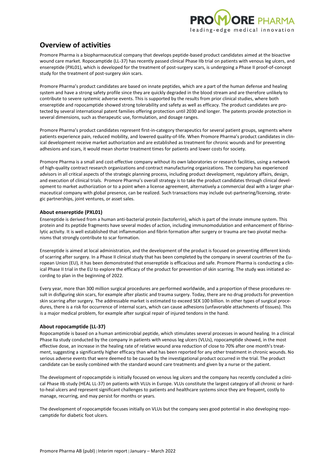

# **Overview of activities**

Promore Pharma is a biopharmaceutical company that develops peptide-based product candidates aimed at the bioactive wound care market. Ropocamptide (LL-37) has recently passed clinical Phase IIb trial on patients with venous leg ulcers, and ensereptide (PXL01), which is developed for the treatment of post-surgery scars, is undergoing a Phase II proof-of-concept study for the treatment of post-surgery skin scars.

Promore Pharma's product candidates are based on innate peptides, which are a part of the human defense and healing system and have a strong safety profile since they are quickly degraded in the blood stream and are therefore unlikely to contribute to severe systemic adverse events. This is supported by the results from prior clinical studies, where both ensereptide and ropocamptide showed strong tolerability and safety as well as efficacy. The product candidates are protected by several international patent families offering protection until 2030 and longer. The patents provide protection in several dimensions, such as therapeutic use, formulation, and dosage ranges.

Promore Pharma's product candidates represent first-in-category therapeutics for several patient groups, segments where patients experience pain, reduced mobility, and lowered quality-of-life. When Promore Pharma's product candidates in clinical development receive market authorization and are established as treatment for chronic wounds and for preventing adhesions and scars, it would mean shorter treatment times for patients and lower costs for society.

Promore Pharma is a small and cost-effective company without its own laboratories or research facilities, using a network of high-quality contract research organizations and contract manufacturing organizations. The company has experienced advisors in all critical aspects of the strategic planning process, including product development, regulatory affairs, design, and execution of clinical trials. Promore Pharma's overall strategy is to take the product candidates through clinical development to market authorization or to a point when a license agreement, alternatively a commercial deal with a larger pharmaceutical company with global presence, can be realized. Such transactions may include out-partnering/licensing, strategic partnerships, joint ventures, or asset sales.

#### **About ensereptide (PXL01)**

Ensereptide is derived from a human anti-bacterial protein (lactoferrin), which is part of the innate immune system. This protein and its peptide fragments have several modes of action, including immunomodulation and enhancement of fibrinolytic activity. It is well established that inflammation and fibrin formation after surgery or trauma are two pivotal mechanisms that strongly contribute to scar formation.

Ensereptide is aimed at local administration, and the development of the product is focused on preventing different kinds of scarring after surgery. In a Phase II clinical study that has been completed by the company in several countries of the European Union (EU), it has been demonstrated that ensereptide is efficacious and safe. Promore Pharma is conducting a clinical Phase II trial in the EU to explore the efficacy of the product for prevention of skin scarring. The study was initiated according to plan in the beginning of 2022.

Every year, more than 300 million surgical procedures are performed worldwide, and a proportion of these procedures result in disfiguring skin scars, for example after plastic and trauma surgery. Today, there are no drug products for prevention skin scarring after surgery. The addressable market is estimated to exceed SEK 100 billion. In other types of surgical procedures, there is a risk for occurrence of internal scars, which can cause adhesions (unfavorable attachments of tissues). This is a major medical problem, for example after surgical repair of injured tendons in the hand.

#### **About ropocamptide (LL-37)**

Ropocamptide is based on a human antimicrobial peptide, which stimulates several processes in wound healing. In a clinical Phase IIa study conducted by the company in patients with venous leg ulcers (VLUs), ropocamptide showed, in the most effective dose, an increase in the healing rate of relative wound area reduction of close to 70% after one month's treatment, suggesting a significantly higher efficacy than what has been reported for any other treatment in chronic wounds. No serious adverse events that were deemed to be caused by the investigational product occurred in the trial. The product candidate can be easily combined with the standard wound care treatments and given by a nurse or the patient.

The development of ropocamptide is initially focused on venous leg ulcers and the company has recently concluded a clinical Phase IIb study (HEAL LL-37) on patients with VLUs in Europe. VLUs constitute the largest category of all chronic or hardto-heal ulcers and represent significant challenges to patients and healthcare systems since they are frequent, costly to manage, recurring, and may persist for months or years.

The development of ropocamptide focuses initially on VLUs but the company sees good potential in also developing ropocamptide for diabetic foot ulcers.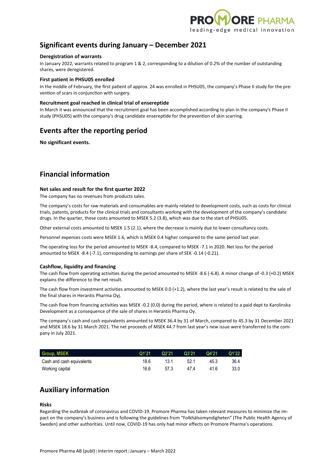

### **Significant events during January – December 2021**

#### **Deregistration of warrants**

In January 2022, warrants related to program 1 & 2, corresponding to a dilution of 0.2% of the number of outstanding shares, were deregistered.

#### **First patient in PHSU05 enrolled**

In the middle of February, the first patient of approx. 24 was enrolled in PHSU05, the company's Phase II study for the prevention of scars in conjunction with surgery.

#### **Recruitment goal reached in clinical trial of ensereptide**

In March it was announced that the recruitment goal has been accomplished according to plan in the company's Phase II study (PHSU05) with the company's drug candidate ensereptide for the prevention of skin scarring.

### **Events after the reporting period**

**No significant events.**

### **Financial information**

#### **Net sales and result for the first quarter 2022**

The company has no revenues from products sales.

The company's costs for raw materials and consumables are mainly related to development costs, such as costs for clinical trials, patents, products for the clinical trials and consultants working with the development of the company's candidate drugs. In the quarter, these costs amounted to MSEK 5.2 (3.8), which was due to the start of PHSU05.

Other external costs amounted to MSEK 1.5 (2.1), where the decrease is mainly due to lower consultancy costs.

Personnel expenses costs were MSEK 1.6, which is MSEK 0.4 higher compared to the same period last year.

The operating loss for the period amounted to MSEK -8.4, compared to MSEK -7.1 in 2020. Net loss for the period amounted to MSEK -8.4 (-7.1), corresponding to earnings per share of SEK -0.14 (-0.21).

#### **Cashflow, liquidity and financing**

The cash flow from operating activities during the period amounted to MSEK -8.6 (-6.8). A minor change of -0.3 (+0.2) MSEK explains the difference to the net result.

The cash flow from investment activities amounted to MSEK 0.0 (+1.2), where the last year's result is related to the sale of the final shares in Herantis Pharma Oyj.

The cash flow from financing activities was MSEK -0.2 (0.0) during the period, where is related to a paid dept to Karolinska Development as a consequence of the sale of shares in Herantis Pharma Oy.

The company's cash and cash equivalents amounted to MSEK 36.4 by 31 of March, compared to 45.3 by 31 December 2021 and MSEK 18.6 by 31 March 2021. The net proceeds of MSEK 44.7 from last year's new issue were transferred to the company in July 2021.

| <b>Group, MSEK</b>        | Q1'21 | Q2'21 | Q3'21 | Q4'21 | Q1'22 |
|---------------------------|-------|-------|-------|-------|-------|
| Cash and cash equivalents | 18.6  | 13.1  | 52.1  | 45.3  | 36.4  |
| Working capital           | 16.6  | 57.3  | 47.4  | 41.6  | 33.0  |

### **Auxiliary information**

#### **Risks**

Regarding the outbreak of coronavirus and COVID-19, Promore Pharma has taken relevant measures to minimize the impact on the company's business and is following the guidelines from "Folkhälsomyndigheten" (The Public Health Agency of Sweden) and other authorities. Until now, COVID-19 has only had minor effects on Promore Pharma's operations.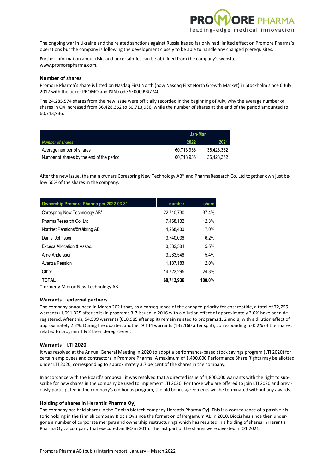

The ongoing war in Ukraine and the related sanctions against Russia has so far only had limited effect on Promore Pharma's operations but the company is following the development closely to be able to handle any changed prerequisites.

Further information about risks and uncertainties can be obtained from the company's website, www.promorepharma.com.

#### **Number of shares**

Promore Pharma's share is listed on Nasdaq First North (now Nasdaq First North Growth Market) in Stockholm since 6 July 2017 with the ticker PROMO and ISIN code SE0009947740.

The 24.285.574 shares from the new issue were officially recorded in the beginning of July, why the average number of shares in Q4 increased from 36,428,362 to 60,713,936, while the number of shares at the end of the period amounted to 60,713,936.

|                                           | Jan-Mar    |            |
|-------------------------------------------|------------|------------|
| <b>Number of shares</b>                   | 2022       | 2021       |
| Average number of shares                  | 60.713.936 | 36.428.362 |
| Number of shares by the end of the period | 60.713.936 | 36.428.362 |

After the new issue, the main owners Corespring New Technology AB\* and PharmaResearch Co. Ltd together own just below 50% of the shares in the company.

| <b>Ownership Promore Pharma per 2022-03-31</b> | number     | share  |
|------------------------------------------------|------------|--------|
| Corespring New Technology AB*                  | 22,710,730 | 37.4%  |
| PharmaResearch Co. Ltd.                        | 7.468.132  | 12.3%  |
| Nordnet Pensionsförsäkring AB                  | 4.268.430  | 7.0%   |
| Daniel Johnsson                                | 3.740.036  | 6.2%   |
| Exceca Allocation & Assoc.                     | 3.332.584  | 5.5%   |
| Arne Andersson                                 | 3.283.546  | 5.4%   |
| Avanza Pension                                 | 1.187.183  | 2.0%   |
| Other                                          | 14,723,295 | 24.3%  |
| <b>TOTAL</b>                                   | 60,713,936 | 100.0% |

\*formerly Midroc New Technology AB

#### **Warrants – external partners**

The company announced in March 2021 that, as a consequence of the changed priority for ensereptide, a total of 72,755 warrants (1,091,325 after split) in programs 3-7 issued in 2016 with a dilution effect of approximately 3.0% have been deregistered. After this, 54,599 warrants (818,985 after split) remain related to programs 1, 2 and 8, with a dilution effect of approximately 2.2%. During the quarter, another 9 144 warrants (137,160 after split), corresponding to 0.2% of the shares, related to program 1 & 2 been deregistered.

#### **Warrants – LTI 2020**

It was resolved at the Annual General Meeting in 2020 to adopt a performance-based stock savings program (LTI 2020) for certain employees and contractors in Promore Pharma. A maximum of 1,400,000 Performance Share Rights may be allotted under LTI 2020, corresponding to approximately 3.7 percent of the shares in the company.

In accordance with the Board's proposal, it was resolved that a directed issue of 1,800,000 warrants with the right to subscribe for new shares in the company be used to implement LTI 2020. For those who are offered to join LTI 2020 and previously participated in the company's old bonus program, the old bonus agreements will be terminated without any awards.

#### **Holding of shares in Herantis Pharma Oyj**

The company has held shares in the Finnish biotech company Herantis Pharma Oyj. This is a consequence of a passive historic holding in the Finnish company Biocis Oy since the formation of Pergamum AB in 2010. Biocis has since then undergone a number of corporate mergers and ownership restructurings which has resulted in a holding of shares in Herantis Pharma Oyj, a company that executed an IPO in 2015. The last part of the shares were divested in Q1 2021.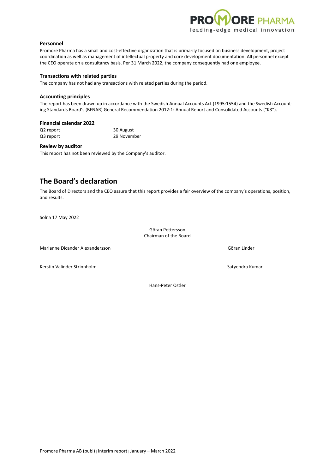

#### **Personnel**

Promore Pharma has a small and cost-effective organization that is primarily focused on business development, project coordination as well as management of intellectual property and core development documentation. All personnel except the CEO operate on a consultancy basis. Per 31 March 2022, the company consequently had one employee.

#### **Transactions with related parties**

The company has not had any transactions with related parties during the period.

#### **Accounting principles**

The report has been drawn up in accordance with the Swedish Annual Accounts Act (1995:1554) and the Swedish Accounting Standards Board's (BFNAR) General Recommendation 2012:1: Annual Report and Consolidated Accounts ("K3").

#### **Financial calendar 2022**

Q2 report 30 August Q3 report 29 November

#### **Review by auditor**

This report has not been reviewed by the Company's auditor.

### **The Board's declaration**

The Board of Directors and the CEO assure that this report provides a fair overview of the company's operations, position, and results.

Solna 17 May 2022

Göran Pettersson Chairman of the Board

Marianne Dicander Alexandersson Göran Linder

Kerstin Valinder Strinnholm Satyendra Kumar Satyendra Kumar Satyendra Kumar Satyendra Kumar Satyendra Kumar Satyendra Kumar Satyendra Kumar Satyendra Kumar Satyendra Kumar Satyendra Kumar Satyendra Satyendra Satyendra Saty

Hans-Peter Ostler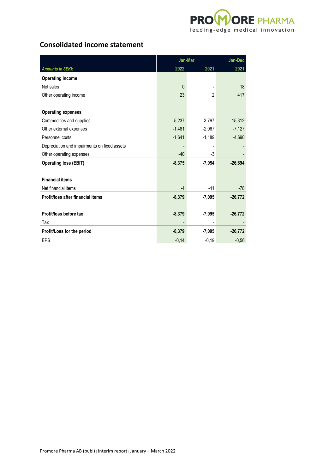

# **Consolidated income statement**

|                                              | Jan-Mar      | Jan-Dec        |           |
|----------------------------------------------|--------------|----------------|-----------|
| <b>Amounts in SEKk</b>                       | 2022         | 2021           | 2021      |
| <b>Operating income</b>                      |              |                |           |
| Net sales                                    | $\mathbf{0}$ |                | 18        |
| Other operating income                       | 23           | $\overline{2}$ | 417       |
|                                              |              |                |           |
| <b>Operating expenses</b>                    |              |                |           |
| Commodities and supplies                     | $-5,237$     | $-3,797$       | $-15,312$ |
| Other external expenses                      | $-1,481$     | $-2,067$       | $-7,127$  |
| Personnel costs                              | $-1,641$     | $-1,189$       | $-4,690$  |
| Depreciation and impairments on fixed assets |              | ٠              |           |
| Other operating expenses                     | $-40$        | -3             |           |
| <b>Operating loss (EBIT)</b>                 | $-8,375$     | $-7,054$       | $-26,694$ |
|                                              |              |                |           |
| <b>Financial items</b>                       |              |                |           |
| Net financial items                          | $-4$         | $-41$          | $-78$     |
| Profit/loss after financial items            | $-8,379$     | $-7,095$       | $-26,772$ |
|                                              |              |                |           |
| Profit/loss before tax                       | $-8,379$     | $-7,095$       | $-26,772$ |
| Tax                                          |              |                |           |
| Profit/Loss for the period                   | $-8,379$     | $-7,095$       | $-26,772$ |
| <b>EPS</b>                                   | $-0,14$      | $-0,19$        | $-0,56$   |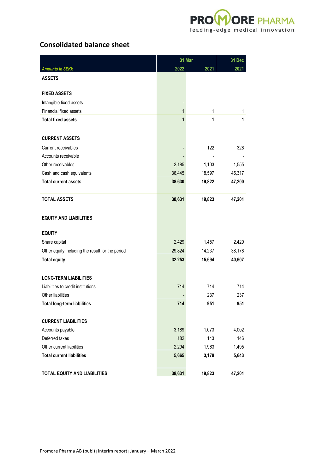

# **Consolidated balance sheet**

|                                                  | 31 Mar |        | 31 Dec |
|--------------------------------------------------|--------|--------|--------|
| <b>Amounts in SEKk</b>                           | 2022   | 2021   | 2021   |
| <b>ASSETS</b>                                    |        |        |        |
| <b>FIXED ASSETS</b>                              |        |        |        |
| Intangible fixed assets                          |        |        |        |
| Financial fixed assets                           | 1      | 1      | 1      |
| <b>Total fixed assets</b>                        | 1      | 1      | 1      |
| <b>CURRENT ASSETS</b>                            |        |        |        |
| Current receivables                              |        | 122    | 328    |
| Accounts receivable                              |        |        |        |
| Other receivables                                | 2,185  | 1,103  | 1,555  |
| Cash and cash equivalents                        | 36,445 | 18,597 | 45,317 |
| <b>Total current assets</b>                      | 38,630 | 19,822 | 47,200 |
| <b>TOTAL ASSETS</b>                              | 38,631 | 19,823 | 47,201 |
| <b>EQUITY AND LIABILITIES</b>                    |        |        |        |
| <b>EQUITY</b>                                    |        |        |        |
| Share capital                                    | 2,429  | 1,457  | 2,429  |
| Other equity including the result for the period | 29,824 | 14,237 | 38,178 |
| <b>Total equity</b>                              | 32,253 | 15,694 | 40,607 |
| <b>LONG-TERM LIABILITIES</b>                     |        |        |        |
| Liabilities to credit institutions               | 714    | 714    | 714    |
| Other liabilities                                |        | 237    | 237    |
| <b>Total long-term liabilities</b>               | 714    | 951    | 951    |
| <b>CURRENT LIABILITIES</b>                       |        |        |        |
| Accounts payable                                 | 3,189  | 1,073  | 4,002  |
| Deferred taxes                                   | 182    | 143    | 146    |
| Other current liabilities                        | 2,294  | 1,963  | 1,495  |
| <b>Total current liabilities</b>                 | 5,665  | 3,178  | 5,643  |
| TOTAL EQUITY AND LIABILITIES                     | 38,631 | 19,823 | 47,201 |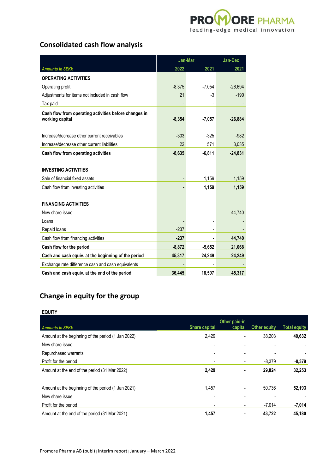

# **Consolidated cash flow analysis**

|                                                                          | Jan-Mar  | Jan-Dec                      |           |
|--------------------------------------------------------------------------|----------|------------------------------|-----------|
| <b>Amounts in SEKk</b>                                                   | 2022     | 2021                         | 2021      |
| <b>OPERATING ACTIVITIES</b>                                              |          |                              |           |
| Operating profit                                                         | $-8,375$ | $-7,054$                     | $-26,694$ |
| Adjustments for items not included in cash flow                          | 21       | -3                           | $-190$    |
| Tax paid                                                                 |          | $\qquad \qquad \blacksquare$ |           |
| Cash flow from operating activities before changes in<br>working capital | $-8,354$ | $-7,057$                     | $-26,884$ |
| Increase/decrease other current receivables                              | $-303$   | $-325$                       | $-982$    |
| Increase/decrease other current liabilities                              | 22       | 571                          | 3,035     |
| Cash flow from operating activities                                      | $-8,635$ | $-6,811$                     | $-24,831$ |
|                                                                          |          |                              |           |
| <b>INVESTING ACTIVITIES</b>                                              |          |                              |           |
| Sale of financial fixed assets                                           |          | 1,159                        | 1,159     |
| Cash flow from investing activities                                      |          | 1,159                        | 1,159     |
|                                                                          |          |                              |           |
| <b>FINANCING ACTIVITIES</b>                                              |          |                              |           |
| New share issue                                                          |          |                              | 44,740    |
| Loans                                                                    |          |                              |           |
| Repaid loans                                                             | $-237$   |                              |           |
| Cash flow from financing activities                                      | $-237$   |                              | 44,740    |
| Cash flow for the period                                                 | $-8,872$ | $-5,652$                     | 21,068    |
| Cash and cash equiv. at the beginning of the period                      | 45,317   | 24,249                       | 24,249    |
| Exchange rate difference cash and cash equivalents                       |          |                              |           |
| Cash and cash equiv. at the end of the period                            | 36.445   | 18,597                       | 45,317    |

# **Change in equity for the group**

#### **EQUITY**

|                                                    |                          | Other paid-in |              |                     |
|----------------------------------------------------|--------------------------|---------------|--------------|---------------------|
| <b>Amounts in SEKk</b>                             | <b>Share capital</b>     | capital       | Other equity | <b>Total equity</b> |
| Amount at the beginning of the period (1 Jan 2022) | 2,429                    |               | 38,203       | 40,632              |
| New share issue                                    | $\overline{\phantom{a}}$ |               | ۰            |                     |
| Repurchased warrants                               | ٠                        |               |              |                     |
| Profit for the period                              | $\blacksquare$           |               | $-8,379$     | $-8,379$            |
| Amount at the end of the period (31 Mar 2022)      | 2,429                    |               | 29.824       | 32,253              |
| Amount at the beginning of the period (1 Jan 2021) | 1,457                    |               | 50,736       | 52,193              |
| New share issue                                    | ٠                        |               |              |                     |
| Profit for the period                              | $\overline{a}$           | -             | $-7,014$     | $-7,014$            |
| Amount at the end of the period (31 Mar 2021)      | 1,457                    |               | 43.722       | 45,180              |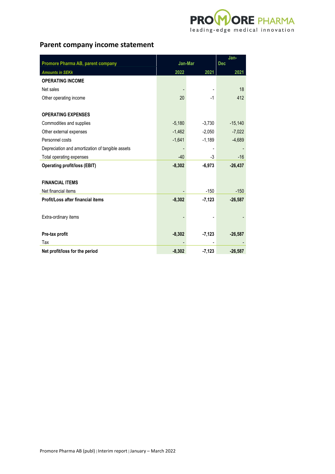

# **Parent company income statement**

|                                                  |          |          | Jan-       |  |
|--------------------------------------------------|----------|----------|------------|--|
| Promore Pharma AB, parent company                | Jan-Mar  |          | <b>Dec</b> |  |
| <b>Amounts in SEKk</b>                           | 2022     | 2021     | 2021       |  |
| <b>OPERATING INCOME</b>                          |          |          |            |  |
| Net sales                                        |          |          | 18         |  |
| Other operating income                           | 20       | $-1$     | 412        |  |
|                                                  |          |          |            |  |
| <b>OPERATING EXPENSES</b>                        |          |          |            |  |
| Commodities and supplies                         | $-5,180$ | $-3,730$ | $-15,140$  |  |
| Other external expenses                          | $-1,462$ | $-2,050$ | $-7,022$   |  |
| Personnel costs                                  | $-1,641$ | $-1,189$ | $-4,689$   |  |
| Depreciation and amortization of tangible assets |          |          |            |  |
| Total operating expenses                         | $-40$    | -3       | $-16$      |  |
| <b>Operating profit/loss (EBIT)</b>              | $-8,302$ | $-6,973$ | $-26,437$  |  |
|                                                  |          |          |            |  |
| <b>FINANCIAL ITEMS</b>                           |          |          |            |  |
| Net financial items                              |          | $-150$   | $-150$     |  |
| Profit/Loss after financial items                | $-8,302$ | $-7,123$ | $-26,587$  |  |
|                                                  |          |          |            |  |
| Extra-ordinary items                             |          |          |            |  |
|                                                  |          |          |            |  |
| Pre-tax profit                                   | $-8,302$ | $-7,123$ | $-26,587$  |  |
| Tax                                              |          |          |            |  |
| Net profit/loss for the period                   | $-8,302$ | $-7,123$ | $-26,587$  |  |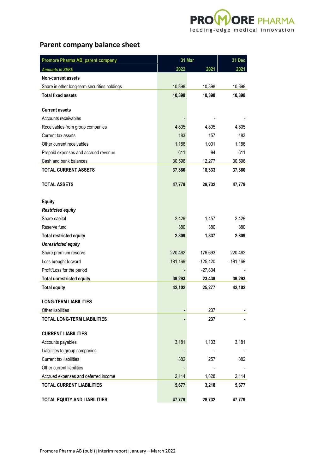

# **Parent company balance sheet**

| Promore Pharma AB, parent company            | 31 Mar     |            | 31 Dec     |
|----------------------------------------------|------------|------------|------------|
| <b>Amounts in SEKk</b>                       | 2022       | 2021       | 2021       |
| <b>Non-current assets</b>                    |            |            |            |
| Share in other long-term securities holdings | 10,398     | 10,398     | 10,398     |
| <b>Total fixed assets</b>                    | 10,398     | 10,398     | 10,398     |
|                                              |            |            |            |
| <b>Current assets</b>                        |            |            |            |
| Accounts receivables                         |            |            |            |
| Receivables from group companies             | 4,805      | 4,805      | 4,805      |
| Current tax assets                           | 183        | 157        | 183        |
| Other current receivables                    | 1,186      | 1,001      | 1,186      |
| Prepaid expenses and accrued revenue         | 611        | 94         | 611        |
| Cash and bank balances                       | 30,596     | 12,277     | 30,596     |
| <b>TOTAL CURRENT ASSETS</b>                  | 37,380     | 18,333     | 37,380     |
| <b>TOTAL ASSETS</b>                          | 47,779     | 28,732     | 47,779     |
|                                              |            |            |            |
| <b>Equity</b>                                |            |            |            |
| <b>Restricted equity</b>                     |            |            |            |
| Share capital                                | 2,429      | 1,457      | 2,429      |
| Reserve fund                                 | 380        | 380        | 380        |
| <b>Total restricted equity</b>               | 2,809      | 1,837      | 2,809      |
|                                              |            |            |            |
| <b>Unrestricted equity</b>                   |            |            |            |
| Share premium reserve                        | 220,462    | 176,693    | 220,462    |
| Loss brought forward                         | $-181,169$ | $-125,420$ | $-181,169$ |
| Profit/Loss for the period                   |            | $-27,834$  |            |
| <b>Total unrestricted equity</b>             | 39,293     | 23,439     | 39,293     |
| <b>Total equity</b>                          | 42,102     | 25,277     | 42,102     |
| <b>LONG-TERM LIABILITIES</b>                 |            |            |            |
| Other liabilities                            |            | 237        |            |
| <b>TOTAL LONG-TERM LIABILITIES</b>           |            | 237        |            |
|                                              |            |            |            |
| <b>CURRENT LIABILITIES</b>                   |            |            |            |
| Accounts payables                            | 3,181      | 1,133      | 3,181      |
| Liabilities to group companies               |            |            |            |
| Current tax liabilities                      | 382        | 257        | 382        |
| Other current liabilities                    |            |            |            |
| Accrued expenses and deferred income         | 2,114      | 1,828      | 2,114      |
| <b>TOTAL CURRENT LIABILITIES</b>             | 5,677      | 3,218      | 5,677      |
| <b>TOTAL EQUITY AND LIABILITIES</b>          | 47,779     | 28,732     | 47,779     |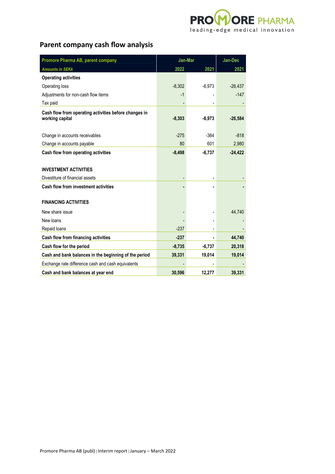

# **Parent company cash flow analysis**

| Promore Pharma AB, parent company                                        | Jan-Mar  | Jan-Dec  |           |
|--------------------------------------------------------------------------|----------|----------|-----------|
| <b>Amounts in SEKk</b>                                                   | 2022     | 2021     | 2021      |
| <b>Operating activities</b>                                              |          |          |           |
| Operating loss                                                           | $-8,302$ | $-6,973$ | $-26,437$ |
| Adjustments for non-cash flow items                                      | $-1$     |          | $-147$    |
| Tax paid                                                                 |          |          |           |
| Cash flow from operating activities before changes in<br>working capital | $-8,303$ | $-6,973$ | $-26,584$ |
| Change in accounts receivables                                           | $-275$   | $-364$   | $-818$    |
| Change in accounts payable                                               | 80       | 601      | 2,980     |
| Cash flow from operating activities                                      | $-8,498$ | $-6,737$ | $-24,422$ |
|                                                                          |          |          |           |
| <b>INVESTMENT ACTIVITIES</b>                                             |          |          |           |
| Divestiture of financial assets                                          |          |          |           |
| Cash flow from investment activities                                     |          |          |           |
| <b>FINANCING ACTIVITIES</b>                                              |          |          |           |
| New share issue                                                          |          |          | 44,740    |
| New loans                                                                |          |          |           |
| Repaid loans                                                             | $-237$   |          |           |
| Cash flow from financing activities                                      | $-237$   |          | 44,740    |
| Cash flow for the period                                                 | $-8,735$ | $-6,737$ | 20,318    |
| Cash and bank balances in the beginning of the period                    | 39,331   | 19,014   | 19,014    |
| Exchange rate difference cash and cash equivalents                       |          |          |           |
| Cash and bank balances at year end                                       | 30.596   | 12.277   | 39.331    |